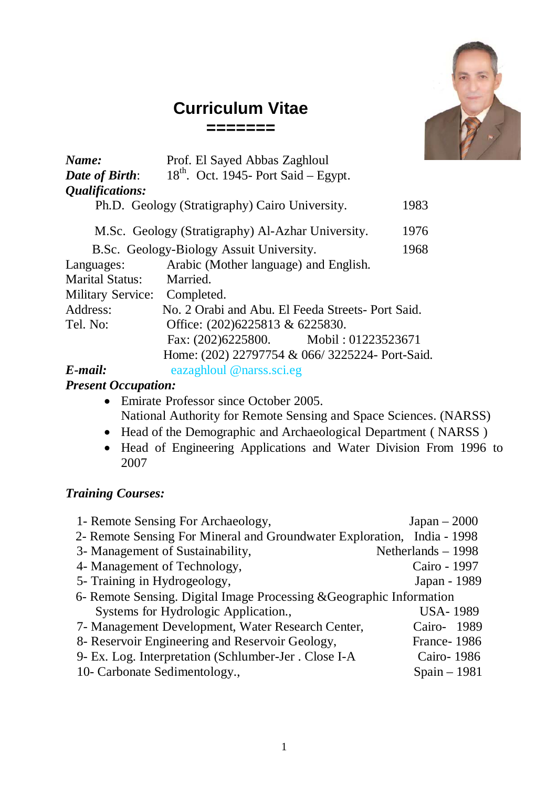# **Curriculum Vitae**

**=======**



| Name:                        | Prof. El Sayed Abbas Zaghloul                     |      |
|------------------------------|---------------------------------------------------|------|
| Date of Birth:               | $18th$ . Oct. 1945- Port Said – Egypt.            |      |
| Qualifications:              |                                                   |      |
|                              | Ph.D. Geology (Stratigraphy) Cairo University.    | 1983 |
|                              | M.Sc. Geology (Stratigraphy) Al-Azhar University. | 1976 |
|                              | B.Sc. Geology-Biology Assuit University.          | 1968 |
| Languages:                   | Arabic (Mother language) and English.             |      |
| <b>Marital Status:</b>       | Married.                                          |      |
| Military Service: Completed. |                                                   |      |
| Address:                     | No. 2 Orabi and Abu. El Feeda Streets- Port Said. |      |
| Tel. No:                     | Office: (202)6225813 & 6225830.                   |      |
|                              | Fax: (202)6225800. Mobil: 01223523671             |      |
|                              | Home: (202) 22797754 & 066/3225224- Port-Said.    |      |
| $E$ -mail:                   | eazaghloul @narss.sci.eg                          |      |

### *Present Occupation:*

- Emirate Professor since October 2005. National Authority for Remote Sensing and Space Sciences. (NARSS)
- Head of the Demographic and Archaeological Department ( NARSS )
- Head of Engineering Applications and Water Division From 1996 to 2007

## *Training Courses:*

| 1- Remote Sensing For Archaeology,                                      | $Japan - 2000$      |  |  |
|-------------------------------------------------------------------------|---------------------|--|--|
| 2- Remote Sensing For Mineral and Groundwater Exploration, India - 1998 |                     |  |  |
| 3- Management of Sustainability,                                        | Netherlands $-1998$ |  |  |
| 4- Management of Technology,                                            | Cairo - 1997        |  |  |
| 5- Training in Hydrogeology,                                            | Japan - 1989        |  |  |
| 6- Remote Sensing. Digital Image Processing & Geographic Information    |                     |  |  |
| Systems for Hydrologic Application.,                                    | <b>USA-1989</b>     |  |  |
| 7- Management Development, Water Research Center,                       | Cairo- 1989         |  |  |
| 8- Reservoir Engineering and Reservoir Geology,                         | France-1986         |  |  |
| 9- Ex. Log. Interpretation (Schlumber-Jer. Close I-A                    | Cairo-1986          |  |  |
| 10- Carbonate Sedimentology.,                                           | $Spain - 1981$      |  |  |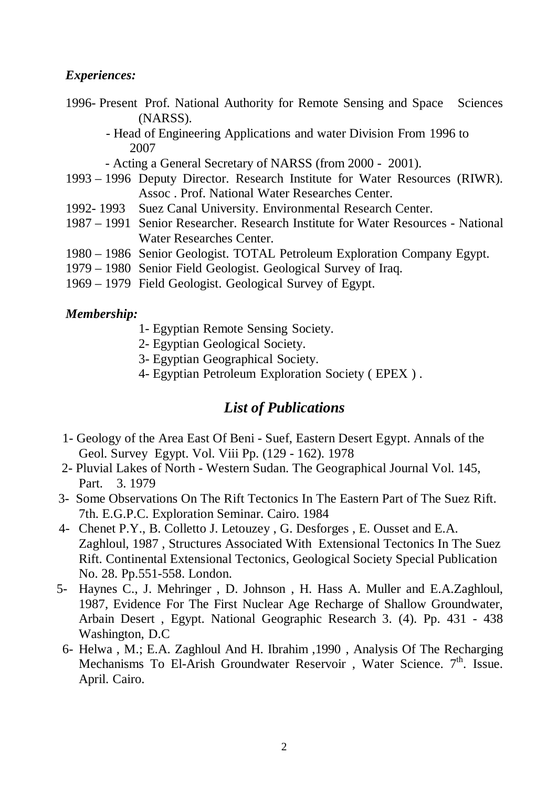#### *Experiences:*

- 1996- Present Prof. National Authority for Remote Sensing and Space Sciences (NARSS).
	- Head of Engineering Applications and water Division From 1996 to 2007

- Acting a General Secretary of NARSS (from 2000 - 2001).

- 1993 1996 Deputy Director. Research Institute for Water Resources (RIWR). Assoc . Prof. National Water Researches Center.
- 1992- 1993 Suez Canal University. Environmental Research Center.
- 1987 1991 Senior Researcher. Research Institute for Water Resources National Water Researches Center.
- 1980 1986 Senior Geologist. TOTAL Petroleum Exploration Company Egypt.
- 1979 1980 Senior Field Geologist. Geological Survey of Iraq.
- 1969 1979 Field Geologist. Geological Survey of Egypt.

#### *Membership:*

- 1- Egyptian Remote Sensing Society.
- 2- Egyptian Geological Society.
- 3- Egyptian Geographical Society.
- 4- Egyptian Petroleum Exploration Society ( EPEX ) .

# *List of Publications*

- 1- Geology of the Area East Of Beni Suef, Eastern Desert Egypt. Annals of the Geol. Survey Egypt. Vol. Viii Pp. (129 - 162). 1978
- 2- Pluvial Lakes of North Western Sudan. The Geographical Journal Vol. 145, Part. 3. 1979
- 3- Some Observations On The Rift Tectonics In The Eastern Part of The Suez Rift. 7th. E.G.P.C. Exploration Seminar. Cairo. 1984
- 4- Chenet P.Y., B. Colletto J. Letouzey , G. Desforges , E. Ousset and E.A. Zaghloul, 1987 , Structures Associated With Extensional Tectonics In The Suez Rift. Continental Extensional Tectonics, Geological Society Special Publication No. 28. Pp.551-558. London.
- 5- Haynes C., J. Mehringer , D. Johnson , H. Hass A. Muller and E.A.Zaghloul, 1987, Evidence For The First Nuclear Age Recharge of Shallow Groundwater, Arbain Desert , Egypt. National Geographic Research 3. (4). Pp. 431 - 438 Washington, D.C
	- 6- Helwa , M.; E.A. Zaghloul And H. Ibrahim ,1990 , Analysis Of The Recharging Mechanisms To El-Arish Groundwater Reservoir, Water Science. 7<sup>th</sup>. Issue. April. Cairo.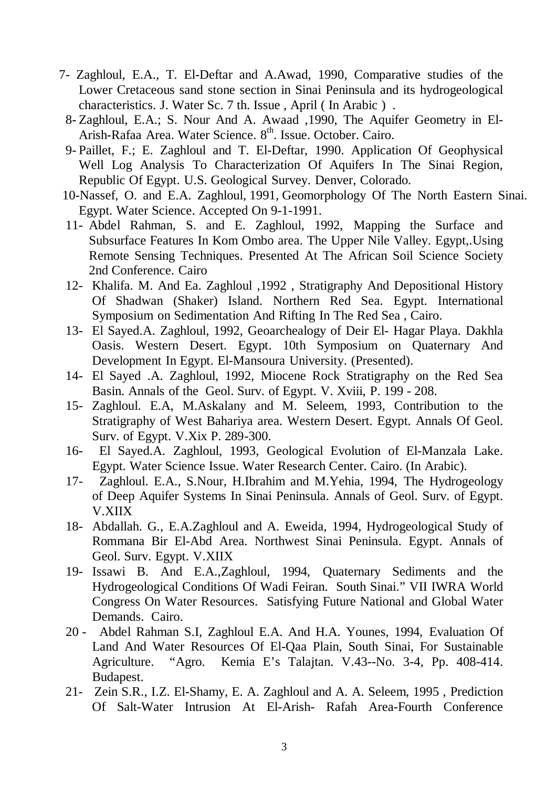- 7- Zaghloul, E.A., T. El-Deftar and A.Awad, 1990, Comparative studies of the Lower Cretaceous sand stone section in Sinai Peninsula and its hydrogeological characteristics. J. Water Sc. 7 th. Issue , April ( In Arabic ) .
	- 8- Zaghloul, E.A.; S. Nour And A. Awaad ,1990, The Aquifer Geometry in El-Arish-Rafaa Area. Water Science. 8th. Issue. October. Cairo.
	- 9- Paillet, F.; E. Zaghloul and T. El-Deftar, 1990. Application Of Geophysical Well Log Analysis To Characterization Of Aquifers In The Sinai Region, Republic Of Egypt. U.S. Geological Survey. Denver, Colorado.
- 10-Nassef, O. and E.A. Zaghloul, 1991, Geomorphology Of The North Eastern Sinai. Egypt. Water Science. Accepted On 9-1-1991.
- 11- Abdel Rahman, S. and E. Zaghloul, 1992, Mapping the Surface and Subsurface Features In Kom Ombo area. The Upper Nile Valley. Egypt,.Using Remote Sensing Techniques. Presented At The African Soil Science Society 2nd Conference. Cairo
- 12- Khalifa. M. And Ea. Zaghloul ,1992 , Stratigraphy And Depositional History Of Shadwan (Shaker) Island. Northern Red Sea. Egypt. International Symposium on Sedimentation And Rifting In The Red Sea , Cairo.
- 13- El Sayed.A. Zaghloul, 1992, Geoarchealogy of Deir El- Hagar Playa. Dakhla Oasis. Western Desert. Egypt. 10th Symposium on Quaternary And Development In Egypt. El-Mansoura University. (Presented).
- 14- El Sayed .A. Zaghloul, 1992, Miocene Rock Stratigraphy on the Red Sea Basin. Annals of the Geol. Surv. of Egypt. V. Xviii, P. 199 - 208.
- 15- Zaghloul. E.A, M.Askalany and M. Seleem, 1993, Contribution to the Stratigraphy of West Bahariya area. Western Desert. Egypt. Annals Of Geol. Surv. of Egypt. V.Xix P. 289-300.
- 16- El Sayed.A. Zaghloul, 1993, Geological Evolution of El-Manzala Lake. Egypt. Water Science Issue. Water Research Center. Cairo. (In Arabic).
- 17- Zaghloul. E.A., S.Nour, H.Ibrahim and M.Yehia, 1994, The Hydrogeology of Deep Aquifer Systems In Sinai Peninsula. Annals of Geol. Surv. of Egypt. V.XIIX
- 18- Abdallah. G., E.A.Zaghloul and A. Eweida, 1994, Hydrogeological Study of Rommana Bir El-Abd Area. Northwest Sinai Peninsula. Egypt. Annals of Geol. Surv. Egypt. V.XIIX
- 19- Issawi B. And E.A.,Zaghloul, 1994, Quaternary Sediments and the Hydrogeological Conditions Of Wadi Feiran. South Sinai." VII IWRA World Congress On Water Resources. Satisfying Future National and Global Water Demands. Cairo.
- 20 Abdel Rahman S.I, Zaghloul E.A. And H.A. Younes, 1994, Evaluation Of Land And Water Resources Of El-Qaa Plain, South Sinai, For Sustainable Agriculture. "Agro. Kemia E's Talajtan. V.43--No. 3-4, Pp. 408-414. Budapest.
- 21- Zein S.R., I.Z. El-Shamy, E. A. Zaghloul and A. A. Seleem, 1995 , Prediction Of Salt-Water Intrusion At El-Arish- Rafah Area-Fourth Conference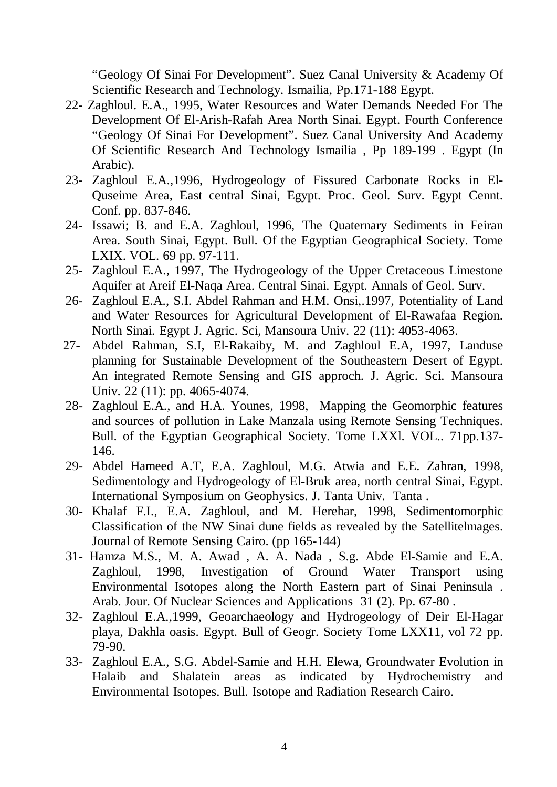"Geology Of Sinai For Development". Suez Canal University & Academy Of Scientific Research and Technology. Ismailia, Pp.171-188 Egypt.

- 22- Zaghloul. E.A., 1995, Water Resources and Water Demands Needed For The Development Of El-Arish-Rafah Area North Sinai. Egypt. Fourth Conference "Geology Of Sinai For Development". Suez Canal University And Academy Of Scientific Research And Technology Ismailia , Pp 189-199 . Egypt (In Arabic).
- 23- Zaghloul E.A.,1996, Hydrogeology of Fissured Carbonate Rocks in El-Quseime Area, East central Sinai, Egypt. Proc. Geol. Surv. Egypt Cennt. Conf. pp. 837-846.
- 24- Issawi; B. and E.A. Zaghloul, 1996, The Quaternary Sediments in Feiran Area. South Sinai, Egypt. Bull. Of the Egyptian Geographical Society. Tome LXIX. VOL. 69 pp. 97-111.
- 25- Zaghloul E.A., 1997, The Hydrogeology of the Upper Cretaceous Limestone Aquifer at Areif El-Naqa Area. Central Sinai. Egypt. Annals of Geol. Surv.
- 26- Zaghloul E.A., S.I. Abdel Rahman and H.M. Onsi,.1997, Potentiality of Land and Water Resources for Agricultural Development of El-Rawafaa Region. North Sinai. Egypt J. Agric. Sci, Mansoura Univ. 22 (11): 4053-4063.
- 27- Abdel Rahman, S.I, El-Rakaiby, M. and Zaghloul E.A, 1997, Landuse planning for Sustainable Development of the Southeastern Desert of Egypt. An integrated Remote Sensing and GIS approch. J. Agric. Sci. Mansoura Univ. 22 (11): pp. 4065-4074.
- 28- Zaghloul E.A., and H.A. Younes, 1998, Mapping the Geomorphic features and sources of pollution in Lake Manzala using Remote Sensing Techniques. Bull. of the Egyptian Geographical Society. Tome LXXl. VOL.. 71pp.137- 146.
- 29- Abdel Hameed A.T, E.A. Zaghloul, M.G. Atwia and E.E. Zahran, 1998, Sedimentology and Hydrogeology of El-Bruk area, north central Sinai, Egypt. International Symposium on Geophysics. J. Tanta Univ. Tanta .
- 30- Khalaf F.I., E.A. Zaghloul, and M. Herehar, 1998, Sedimentomorphic Classification of the NW Sinai dune fields as revealed by the Satellitelmages. Journal of Remote Sensing Cairo. (pp 165-144)
- 31- Hamza M.S., M. A. Awad , A. A. Nada , S.g. Abde El-Samie and E.A. Zaghloul, 1998, Investigation of Ground Water Transport using Environmental Isotopes along the North Eastern part of Sinai Peninsula . Arab. Jour. Of Nuclear Sciences and Applications 31 (2). Pp. 67-80 .
- 32- Zaghloul E.A.,1999, Geoarchaeology and Hydrogeology of Deir El-Hagar playa, Dakhla oasis. Egypt. Bull of Geogr. Society Tome LXX11, vol 72 pp. 79-90.
- 33- Zaghloul E.A., S.G. Abdel-Samie and H.H. Elewa, Groundwater Evolution in Halaib and Shalatein areas as indicated by Hydrochemistry and Environmental Isotopes. Bull. Isotope and Radiation Research Cairo.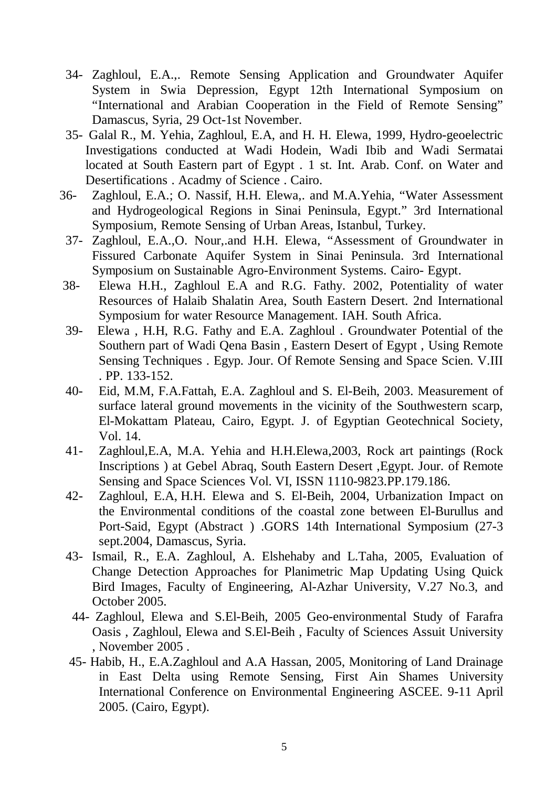- 34- Zaghloul, E.A.,. Remote Sensing Application and Groundwater Aquifer System in Swia Depression, Egypt 12th International Symposium on "International and Arabian Cooperation in the Field of Remote Sensing" Damascus, Syria, 29 Oct-1st November.
- 35- Galal R., M. Yehia, Zaghloul, E.A, and H. H. Elewa, 1999, Hydro-geoelectric Investigations conducted at Wadi Hodein, Wadi Ibib and Wadi Sermatai located at South Eastern part of Egypt . 1 st. Int. Arab. Conf. on Water and Desertifications . Acadmy of Science . Cairo.
- 36- Zaghloul, E.A.; O. Nassif, H.H. Elewa,. and M.A.Yehia, "Water Assessment and Hydrogeological Regions in Sinai Peninsula, Egypt." 3rd International Symposium, Remote Sensing of Urban Areas, Istanbul, Turkey.
- 37- Zaghloul, E.A.,O. Nour,.and H.H. Elewa, "Assessment of Groundwater in Fissured Carbonate Aquifer System in Sinai Peninsula. 3rd International Symposium on Sustainable Agro-Environment Systems. Cairo- Egypt.
- 38- Elewa H.H., Zaghloul E.A and R.G. Fathy. 2002, Potentiality of water Resources of Halaib Shalatin Area, South Eastern Desert. 2nd International Symposium for water Resource Management. IAH. South Africa.
- 39- Elewa , H.H, R.G. Fathy and E.A. Zaghloul . Groundwater Potential of the Southern part of Wadi Qena Basin , Eastern Desert of Egypt , Using Remote Sensing Techniques . Egyp. Jour. Of Remote Sensing and Space Scien. V.III . PP. 133-152.
- 40- Eid, M.M, F.A.Fattah, E.A. Zaghloul and S. El-Beih, 2003. Measurement of surface lateral ground movements in the vicinity of the Southwestern scarp, El-Mokattam Plateau, Cairo, Egypt. J. of Egyptian Geotechnical Society, Vol. 14.
- 41- Zaghloul,E.A, M.A. Yehia and H.H.Elewa,2003, Rock art paintings (Rock Inscriptions ) at Gebel Abraq, South Eastern Desert ,Egypt. Jour. of Remote Sensing and Space Sciences Vol. VI, ISSN 1110-9823.PP.179.186.
- 42- Zaghloul, E.A, H.H. Elewa and S. El-Beih, 2004, Urbanization Impact on the Environmental conditions of the coastal zone between El-Burullus and Port-Said, Egypt (Abstract ) .GORS 14th International Symposium (27-3 sept.2004, Damascus, Syria.
- 43- Ismail, R., E.A. Zaghloul, A. Elshehaby and L.Taha, 2005, Evaluation of Change Detection Approaches for Planimetric Map Updating Using Quick Bird Images, Faculty of Engineering, Al-Azhar University, V.27 No.3, and October 2005.
- 44- Zaghloul, Elewa and S.El-Beih, 2005 Geo-environmental Study of Farafra Oasis , Zaghloul, Elewa and S.El-Beih , Faculty of Sciences Assuit University , November 2005 .
- 45- Habib, H., E.A.Zaghloul and A.A Hassan, 2005, Monitoring of Land Drainage in East Delta using Remote Sensing, First Ain Shames University International Conference on Environmental Engineering ASCEE. 9-11 April 2005. (Cairo, Egypt).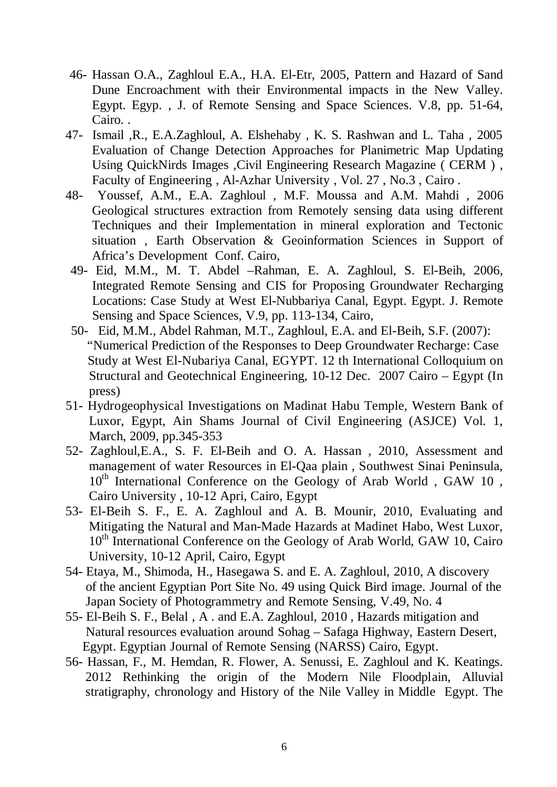- 46- Hassan O.A., Zaghloul E.A., H.A. El-Etr, 2005, Pattern and Hazard of Sand Dune Encroachment with their Environmental impacts in the New Valley. Egypt. Egyp. , J. of Remote Sensing and Space Sciences. V.8, pp. 51-64, Cairo. .
- 47- Ismail ,R., E.A.Zaghloul, A. Elshehaby , K. S. Rashwan and L. Taha , 2005 Evaluation of Change Detection Approaches for Planimetric Map Updating Using QuickNirds Images ,Civil Engineering Research Magazine ( CERM ) , Faculty of Engineering , Al-Azhar University , Vol. 27 , No.3 , Cairo .
- 48- Youssef, A.M., E.A. Zaghloul , M.F. Moussa and A.M. Mahdi , 2006 Geological structures extraction from Remotely sensing data using different Techniques and their Implementation in mineral exploration and Tectonic situation , Earth Observation & Geoinformation Sciences in Support of Africa's Development Conf. Cairo,
- 49- Eid, M.M., M. T. Abdel –Rahman, E. A. Zaghloul, S. El-Beih, 2006, Integrated Remote Sensing and CIS for Proposing Groundwater Recharging Locations: Case Study at West El-Nubbariya Canal, Egypt. Egypt. J. Remote Sensing and Space Sciences, V.9, pp. 113-134, Cairo,
- 50- Eid, M.M., Abdel Rahman, M.T., Zaghloul, E.A. and El-Beih, S.F. (2007): "Numerical Prediction of the Responses to Deep Groundwater Recharge: Case Study at West El-Nubariya Canal, EGYPT. 12 th International Colloquium on Structural and Geotechnical Engineering, 10-12 Dec. 2007 Cairo – Egypt (In press)
- 51- Hydrogeophysical Investigations on Madinat Habu Temple, Western Bank of Luxor, Egypt, Ain Shams Journal of Civil Engineering (ASJCE) Vol. 1, March, 2009, pp.345-353
- 52- Zaghloul,E.A., S. F. El-Beih and O. A. Hassan , 2010, Assessment and management of water Resources in El-Qaa plain , Southwest Sinai Peninsula, 10<sup>th</sup> International Conference on the Geology of Arab World, GAW 10, Cairo University , 10-12 Apri, Cairo, Egypt
- 53- El-Beih S. F., E. A. Zaghloul and A. B. Mounir, 2010, Evaluating and Mitigating the Natural and Man-Made Hazards at Madinet Habo, West Luxor, 10<sup>th</sup> International Conference on the Geology of Arab World, GAW 10, Cairo University, 10-12 April, Cairo, Egypt
- 54- Etaya, M., Shimoda, H., Hasegawa S. and E. A. Zaghloul, 2010, A discovery of the ancient Egyptian Port Site No. 49 using Quick Bird image. Journal of the Japan Society of Photogrammetry and Remote Sensing, V.49, No. 4
- 55- El-Beih S. F., Belal , A . and E.A. Zaghloul, 2010 , Hazards mitigation and Natural resources evaluation around Sohag – Safaga Highway, Eastern Desert, Egypt. Egyptian Journal of Remote Sensing (NARSS) Cairo, Egypt.
- 56- Hassan, F., M. Hemdan, R. Flower, A. Senussi, E. Zaghloul and K. Keatings. 2012 Rethinking the origin of the Modern Nile Floodplain, Alluvial stratigraphy, chronology and History of the Nile Valley in Middle Egypt. The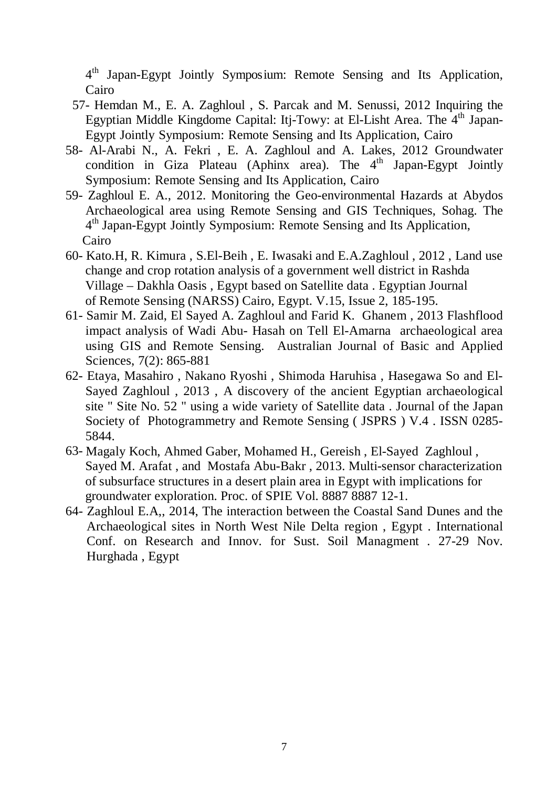4th Japan-Egypt Jointly Symposium: Remote Sensing and Its Application, Cairo

- 57- Hemdan M., E. A. Zaghloul , S. Parcak and M. Senussi, 2012 Inquiring the Egyptian Middle Kingdome Capital: Itj-Towy: at El-Lisht Area. The  $4<sup>th</sup>$  Japan-Egypt Jointly Symposium: Remote Sensing and Its Application, Cairo
- 58- Al-Arabi N., A. Fekri , E. A. Zaghloul and A. Lakes, 2012 Groundwater condition in Giza Plateau (Aphinx area). The  $4<sup>th</sup>$  Japan-Egypt Jointly Symposium: Remote Sensing and Its Application, Cairo
- 59- Zaghloul E. A., 2012. Monitoring the Geo-environmental Hazards at Abydos Archaeological area using Remote Sensing and GIS Techniques, Sohag. The <sup>4th</sup> Japan-Egypt Jointly Symposium: Remote Sensing and Its Application, Cairo
- 60- Kato.H, R. Kimura , S.El-Beih , E. Iwasaki and E.A.Zaghloul , 2012 , Land use change and crop rotation analysis of a government well district in Rashda Village – Dakhla Oasis , Egypt based on Satellite data . Egyptian Journal of Remote Sensing (NARSS) Cairo, Egypt. V.15, Issue 2, 185-195.
- 61- Samir M. Zaid, El Sayed A. Zaghloul and Farid K. Ghanem , 2013 Flashflood impact analysis of Wadi Abu- Hasah on Tell El-Amarna archaeological area using GIS and Remote Sensing. Australian Journal of Basic and Applied Sciences, 7(2): 865-881
- 62- Etaya, Masahiro , Nakano Ryoshi , Shimoda Haruhisa , Hasegawa So and El-Sayed Zaghloul , 2013 , A discovery of the ancient Egyptian archaeological site " Site No. 52 " using a wide variety of Satellite data . Journal of the Japan Society of Photogrammetry and Remote Sensing ( JSPRS ) V.4 . ISSN 0285- 5844.
- 63- Magaly Koch, Ahmed Gaber, Mohamed H., Gereish , El-Sayed Zaghloul , Sayed M. Arafat , and Mostafa Abu-Bakr , 2013. Multi-sensor characterization of subsurface structures in a desert plain area in Egypt with implications for groundwater exploration. Proc. of SPIE Vol. 8887 8887 12-1.
- 64- Zaghloul E.A,, 2014, The interaction between the Coastal Sand Dunes and the Archaeological sites in North West Nile Delta region , Egypt . International Conf. on Research and Innov. for Sust. Soil Managment . 27-29 Nov. Hurghada , Egypt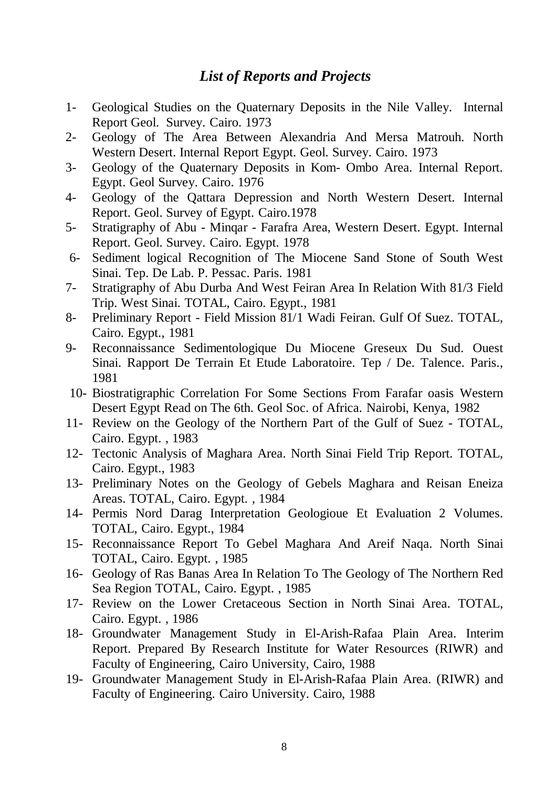# *List of Reports and Projects*

- 1- Geological Studies on the Quaternary Deposits in the Nile Valley. Internal Report Geol. Survey. Cairo. 1973
- 2- Geology of The Area Between Alexandria And Mersa Matrouh. North Western Desert. Internal Report Egypt. Geol. Survey. Cairo. 1973
- 3- Geology of the Quaternary Deposits in Kom- Ombo Area. Internal Report. Egypt. Geol Survey. Cairo. 1976
- 4- Geology of the Qattara Depression and North Western Desert. Internal Report. Geol. Survey of Egypt. Cairo.1978
- 5- Stratigraphy of Abu Minqar Farafra Area, Western Desert. Egypt. Internal Report. Geol. Survey. Cairo. Egypt. 1978
- 6- Sediment logical Recognition of The Miocene Sand Stone of South West Sinai. Tep. De Lab. P. Pessac. Paris. 1981
- 7- Stratigraphy of Abu Durba And West Feiran Area In Relation With 81/3 Field Trip. West Sinai. TOTAL, Cairo. Egypt., 1981
- 8- Preliminary Report Field Mission 81/1 Wadi Feiran. Gulf Of Suez. TOTAL, Cairo. Egypt., 1981
- 9- Reconnaissance Sedimentologique Du Miocene Greseux Du Sud. Ouest Sinai. Rapport De Terrain Et Etude Laboratoire. Tep / De. Talence. Paris., 1981
- 10- Biostratigraphic Correlation For Some Sections From Farafar oasis Western Desert Egypt Read on The 6th. Geol Soc. of Africa. Nairobi, Kenya, 1982
- 11- Review on the Geology of the Northern Part of the Gulf of Suez TOTAL, Cairo. Egypt. , 1983
- 12- Tectonic Analysis of Maghara Area. North Sinai Field Trip Report. TOTAL, Cairo. Egypt., 1983
- 13- Preliminary Notes on the Geology of Gebels Maghara and Reisan Eneiza Areas. TOTAL, Cairo. Egypt. , 1984
- 14- Permis Nord Darag Interpretation Geologioue Et Evaluation 2 Volumes. TOTAL, Cairo. Egypt., 1984
- 15- Reconnaissance Report To Gebel Maghara And Areif Naqa. North Sinai TOTAL, Cairo. Egypt. , 1985
- 16- Geology of Ras Banas Area In Relation To The Geology of The Northern Red Sea Region TOTAL, Cairo. Egypt. , 1985
- 17- Review on the Lower Cretaceous Section in North Sinai Area. TOTAL, Cairo. Egypt. , 1986
- 18- Groundwater Management Study in El-Arish-Rafaa Plain Area. Interim Report. Prepared By Research Institute for Water Resources (RIWR) and Faculty of Engineering, Cairo University, Cairo, 1988
- 19- Groundwater Management Study in El-Arish-Rafaa Plain Area. (RIWR) and Faculty of Engineering. Cairo University. Cairo, 1988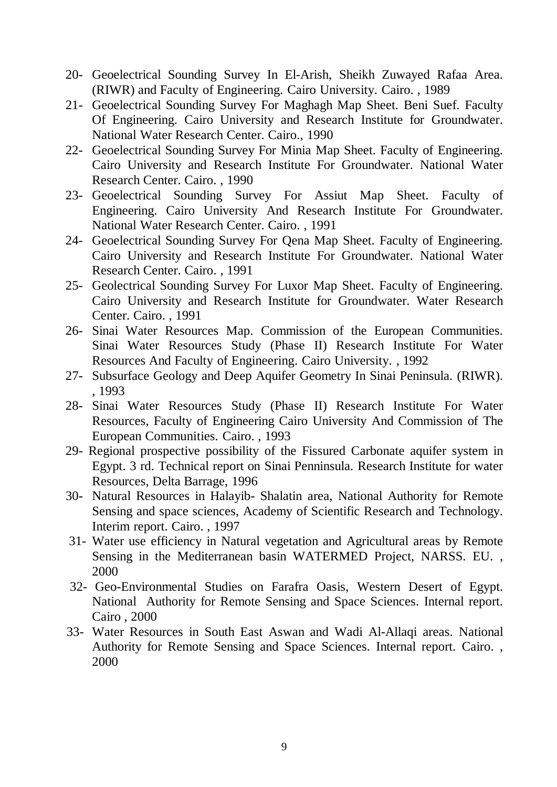- 20- Geoelectrical Sounding Survey In El-Arish, Sheikh Zuwayed Rafaa Area. (RIWR) and Faculty of Engineering. Cairo University. Cairo. , 1989
- 21- Geoelectrical Sounding Survey For Maghagh Map Sheet. Beni Suef. Faculty Of Engineering. Cairo University and Research Institute for Groundwater. National Water Research Center. Cairo., 1990
- 22- Geoelectrical Sounding Survey For Minia Map Sheet. Faculty of Engineering. Cairo University and Research Institute For Groundwater. National Water Research Center. Cairo. , 1990
- 23- Geoelectrical Sounding Survey For Assiut Map Sheet. Faculty of Engineering. Cairo University And Research Institute For Groundwater. National Water Research Center. Cairo. , 1991
- 24- Geoelectrical Sounding Survey For Qena Map Sheet. Faculty of Engineering. Cairo University and Research Institute For Groundwater. National Water Research Center. Cairo. , 1991
- 25- Geolectrical Sounding Survey For Luxor Map Sheet. Faculty of Engineering. Cairo University and Research Institute for Groundwater. Water Research Center. Cairo. , 1991
- 26- Sinai Water Resources Map. Commission of the European Communities. Sinai Water Resources Study (Phase II) Research Institute For Water Resources And Faculty of Engineering. Cairo University. , 1992
- 27- Subsurface Geology and Deep Aquifer Geometry In Sinai Peninsula. (RIWR). , 1993
- 28- Sinai Water Resources Study (Phase II) Research Institute For Water Resources, Faculty of Engineering Cairo University And Commission of The European Communities. Cairo. , 1993
- 29- Regional prospective possibility of the Fissured Carbonate aquifer system in Egypt. 3 rd. Technical report on Sinai Penninsula. Research Institute for water Resources, Delta Barrage, 1996
- 30- Natural Resources in Halayib- Shalatin area, National Authority for Remote Sensing and space sciences, Academy of Scientific Research and Technology. Interim report. Cairo. , 1997
- 31- Water use efficiency in Natural vegetation and Agricultural areas by Remote Sensing in the Mediterranean basin WATERMED Project, NARSS. EU. , 2000
- 32- Geo-Environmental Studies on Farafra Oasis, Western Desert of Egypt. National Authority for Remote Sensing and Space Sciences. Internal report. Cairo , 2000
- 33- Water Resources in South East Aswan and Wadi Al-Allaqi areas. National Authority for Remote Sensing and Space Sciences. Internal report. Cairo. , 2000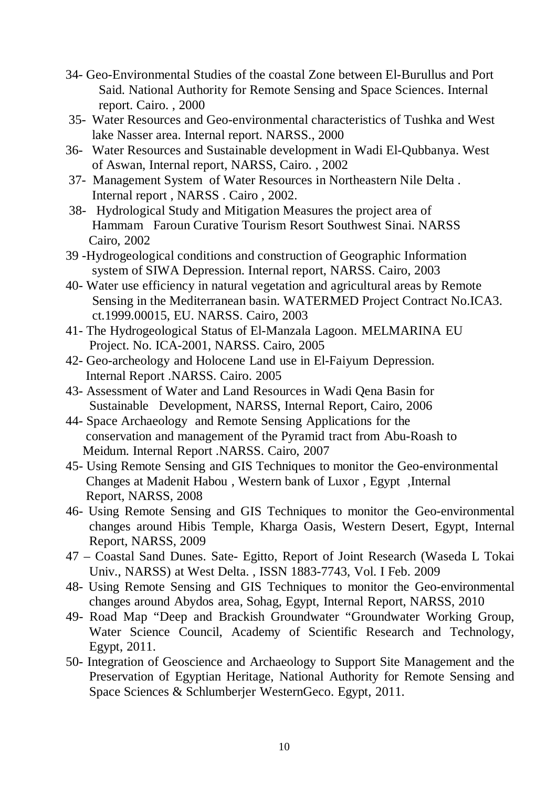- 34- Geo-Environmental Studies of the coastal Zone between El-Burullus and Port Said. National Authority for Remote Sensing and Space Sciences. Internal report. Cairo. , 2000
- 35- Water Resources and Geo-environmental characteristics of Tushka and West lake Nasser area. Internal report. NARSS., 2000
- 36- Water Resources and Sustainable development in Wadi El-Qubbanya. West of Aswan, Internal report, NARSS, Cairo. , 2002
- 37- Management System of Water Resources in Northeastern Nile Delta . Internal report , NARSS . Cairo , 2002.
- 38- Hydrological Study and Mitigation Measures the project area of Hammam Faroun Curative Tourism Resort Southwest Sinai. NARSS Cairo, 2002
- 39 -Hydrogeological conditions and construction of Geographic Information system of SIWA Depression. Internal report, NARSS. Cairo, 2003
- 40- Water use efficiency in natural vegetation and agricultural areas by Remote Sensing in the Mediterranean basin. WATERMED Project Contract No.ICA3. ct.1999.00015, EU. NARSS. Cairo, 2003
- 41- The Hydrogeological Status of El-Manzala Lagoon. MELMARINA EU Project. No. ICA-2001, NARSS. Cairo, 2005
- 42- Geo-archeology and Holocene Land use in El-Faiyum Depression. Internal Report .NARSS. Cairo. 2005
- 43- Assessment of Water and Land Resources in Wadi Qena Basin for Sustainable Development, NARSS, Internal Report, Cairo, 2006
- 44- Space Archaeology and Remote Sensing Applications for the conservation and management of the Pyramid tract from Abu-Roash to Meidum. Internal Report .NARSS. Cairo, 2007
- 45- Using Remote Sensing and GIS Techniques to monitor the Geo-environmental Changes at Madenit Habou , Western bank of Luxor , Egypt ,Internal Report, NARSS, 2008
- 46- Using Remote Sensing and GIS Techniques to monitor the Geo-environmental changes around Hibis Temple, Kharga Oasis, Western Desert, Egypt, Internal Report, NARSS, 2009
- 47 Coastal Sand Dunes. Sate- Egitto, Report of Joint Research (Waseda L Tokai Univ., NARSS) at West Delta. , ISSN 1883-7743, Vol. I Feb. 2009
- 48- Using Remote Sensing and GIS Techniques to monitor the Geo-environmental changes around Abydos area, Sohag, Egypt, Internal Report, NARSS, 2010
- 49- Road Map "Deep and Brackish Groundwater "Groundwater Working Group, Water Science Council, Academy of Scientific Research and Technology, Egypt, 2011.
- 50- Integration of Geoscience and Archaeology to Support Site Management and the Preservation of Egyptian Heritage, National Authority for Remote Sensing and Space Sciences & Schlumberjer WesternGeco. Egypt, 2011.